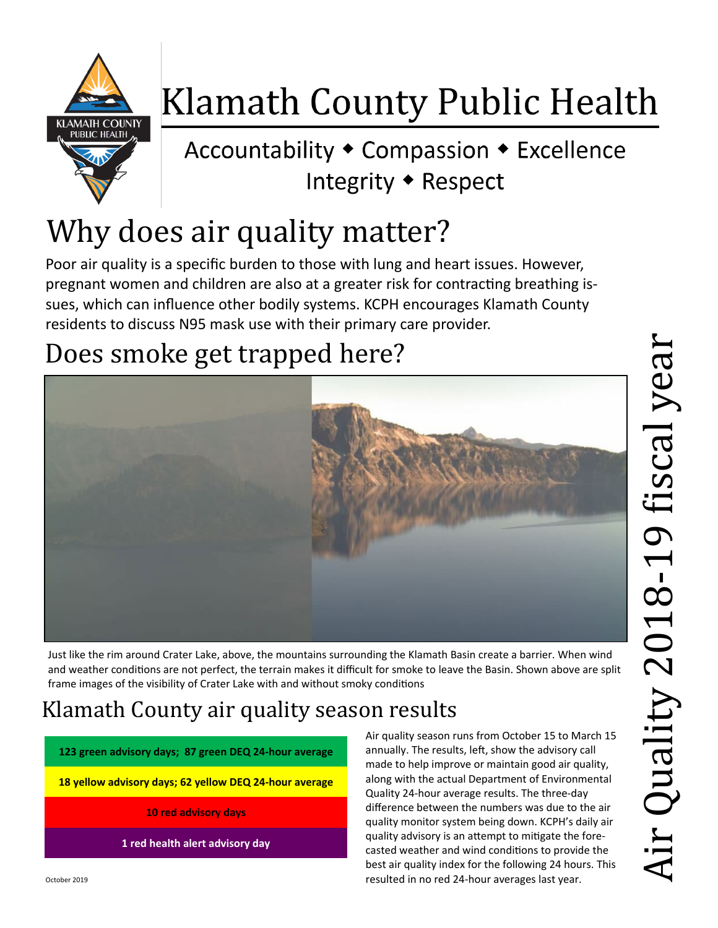

# Klamath County Public Health

### Accountability ◆ Compassion ◆ Excellence Integrity • Respect

# Why does air quality matter?

Poor air quality is a specific burden to those with lung and heart issues. However, pregnant women and children are also at a greater risk for contracting breathing issues, which can influence other bodily systems. KCPH encourages Klamath County residents to discuss N95 mask use with their primary care provider.

## Does smoke get trapped here?



Just like the rim around Crater Lake, above, the mountains surrounding the Klamath Basin create a barrier. When wind and weather conditions are not perfect, the terrain makes it difficult for smoke to leave the Basin. Shown above are split frame images of the visibility of Crater Lake with and without smoky conditions

#### Klamath County air quality season results

**123 green advisory days; 87 green DEQ 24-hour average**

**18 yellow advisory days; 62 yellow DEQ 24-hour average**

**10 red advisory days**

**1 red health alert advisory day**

Air quality season runs from October 15 to March 15 annually. The results, left, show the advisory call made to help improve or maintain good air quality, along with the actual Department of Environmental Quality 24-hour average results. The three-day difference between the numbers was due to the air quality monitor system being down. KCPH's daily air quality advisory is an attempt to mitigate the forecasted weather and wind conditions to provide the best air quality index for the following 24 hours. This October 2019 resulted in no red 24-hour averages last year.